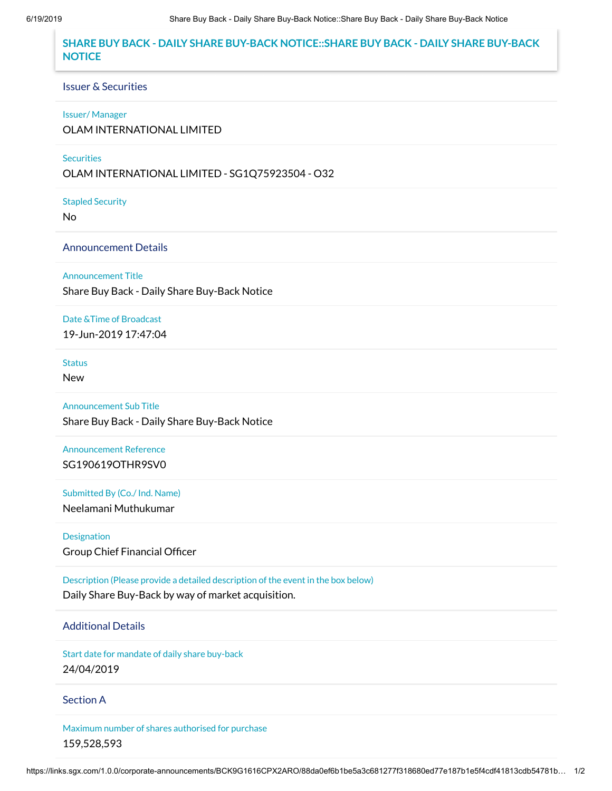## **SHARE BUY BACK - DAILY SHARE BUY-BACK NOTICE::SHARE BUY BACK - DAILY SHARE BUY-BACK NOTICE**

#### Issuer & Securities

#### Issuer/ Manager

OLAM INTERNATIONAL LIMITED

#### **Securities**

OLAM INTERNATIONAL LIMITED - SG1Q75923504 - O32

Stapled Security

No

### Announcement Details

Announcement Title

Share Buy Back - Daily Share Buy-Back Notice

### Date &Time of Broadcast

19-Jun-2019 17:47:04

# **Status**

New

Announcement Sub Title Share Buy Back - Daily Share Buy-Back Notice

Announcement Reference SG190619OTHR9SV0

Submitted By (Co./ Ind. Name) Neelamani Muthukumar

Designation Group Chief Financial Officer

Description (Please provide a detailed description of the event in the box below) Daily Share Buy-Back by way of market acquisition.

## Additional Details

Start date for mandate of daily share buy-back 24/04/2019

### Section A

Maximum number of shares authorised for purchase 159,528,593